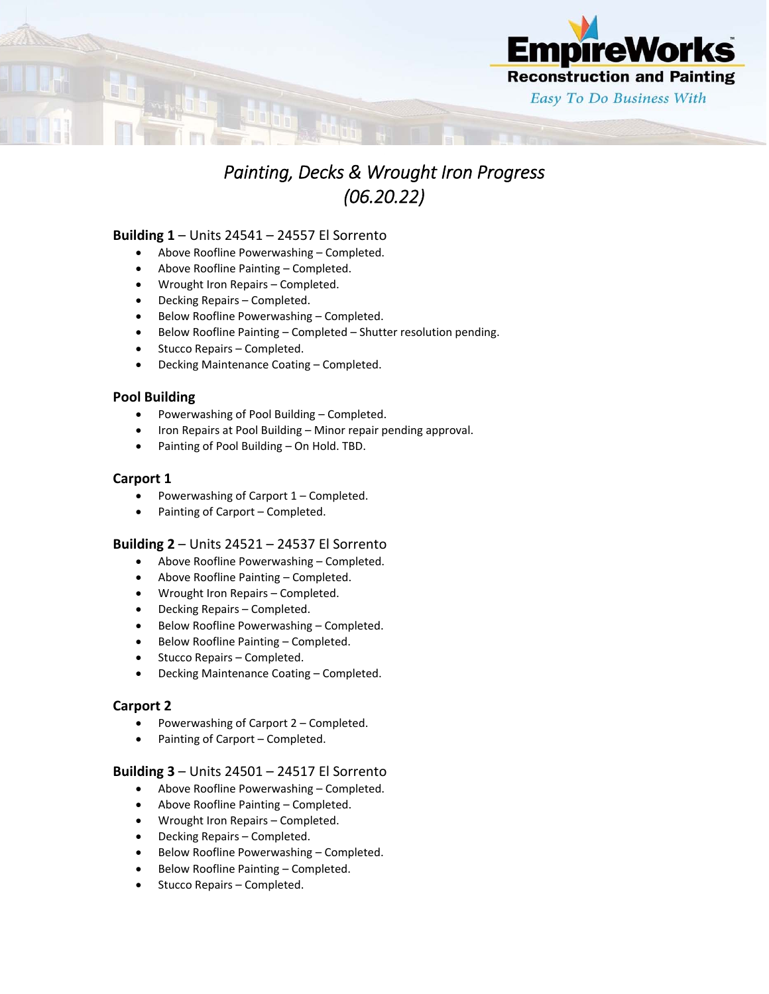

# *Painting, Decks & Wrought Iron Progress (06.20.22)*

# **Building 1** – Units 24541 – 24557 El Sorrento

- Above Roofline Powerwashing Completed.
- Above Roofline Painting Completed.
- Wrought Iron Repairs Completed.
- Decking Repairs Completed.
- Below Roofline Powerwashing Completed.
- Below Roofline Painting Completed Shutter resolution pending.
- Stucco Repairs Completed.
- Decking Maintenance Coating Completed.

## **Pool Building**

- Powerwashing of Pool Building Completed.
- Iron Repairs at Pool Building Minor repair pending approval.
- Painting of Pool Building On Hold. TBD.

## **Carport 1**

- Powerwashing of Carport 1 Completed.
- Painting of Carport Completed.

# **Building 2** – Units 24521 – 24537 El Sorrento

- Above Roofline Powerwashing Completed.
- Above Roofline Painting Completed.
- Wrought Iron Repairs Completed.
- Decking Repairs Completed.
- Below Roofline Powerwashing Completed.
- Below Roofline Painting Completed.
- Stucco Repairs Completed.
- Decking Maintenance Coating Completed.

#### **Carport 2**

- Powerwashing of Carport 2 Completed.
- Painting of Carport Completed.

#### **Building 3** – Units 24501 – 24517 El Sorrento

- Above Roofline Powerwashing Completed.
- Above Roofline Painting Completed.
- Wrought Iron Repairs Completed.
- Decking Repairs Completed.
- Below Roofline Powerwashing Completed.
- Below Roofline Painting Completed.
- Stucco Repairs Completed.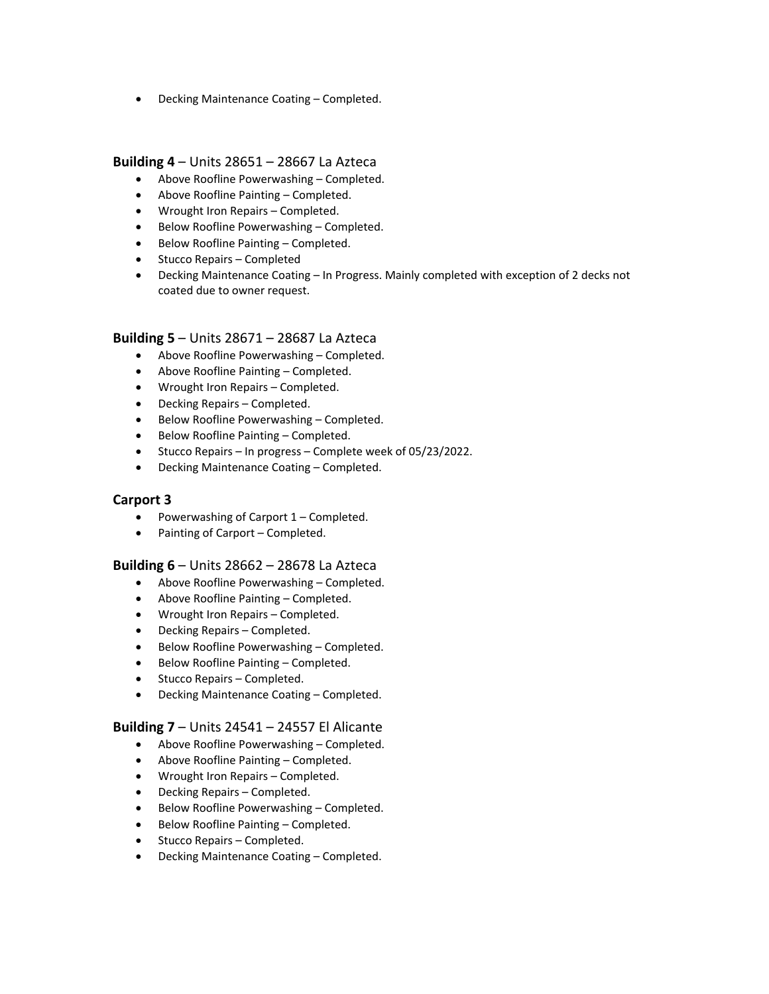Decking Maintenance Coating – Completed.

## **Building 4** – Units 28651 – 28667 La Azteca

- Above Roofline Powerwashing Completed.
- Above Roofline Painting Completed.
- Wrought Iron Repairs Completed.
- Below Roofline Powerwashing Completed.
- Below Roofline Painting Completed.
- Stucco Repairs Completed
- Decking Maintenance Coating In Progress. Mainly completed with exception of 2 decks not coated due to owner request.

## **Building 5** – Units 28671 – 28687 La Azteca

- Above Roofline Powerwashing Completed.
- Above Roofline Painting Completed.
- Wrought Iron Repairs Completed.
- Decking Repairs Completed.
- Below Roofline Powerwashing Completed.
- Below Roofline Painting Completed.
- Stucco Repairs In progress Complete week of 05/23/2022.
- Decking Maintenance Coating Completed.

#### **Carport 3**

- Powerwashing of Carport 1 Completed.
- Painting of Carport Completed.

#### **Building 6** – Units 28662 – 28678 La Azteca

- Above Roofline Powerwashing Completed.
- Above Roofline Painting Completed.
- Wrought Iron Repairs Completed.
- Decking Repairs Completed.
- Below Roofline Powerwashing Completed.
- Below Roofline Painting Completed.
- Stucco Repairs Completed.
- Decking Maintenance Coating Completed.

#### **Building 7** – Units 24541 – 24557 El Alicante

- Above Roofline Powerwashing Completed.
- Above Roofline Painting Completed.
- Wrought Iron Repairs Completed.
- Decking Repairs Completed.
- Below Roofline Powerwashing Completed.
- Below Roofline Painting Completed.
- Stucco Repairs Completed.
- Decking Maintenance Coating Completed.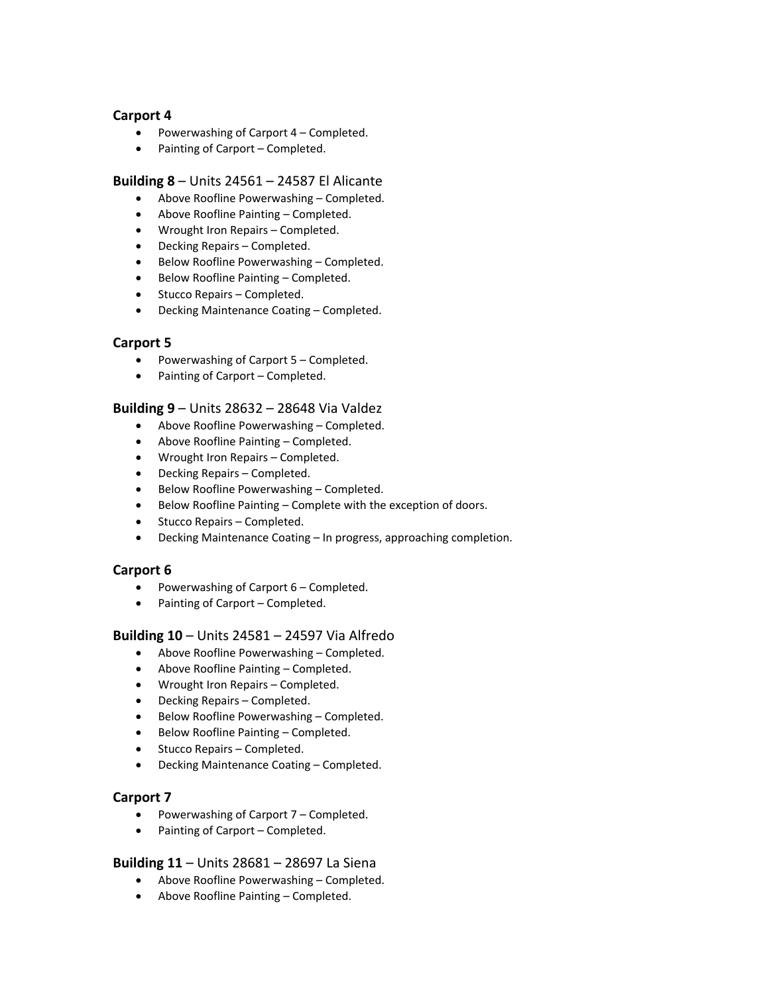# **Carport 4**

- Powerwashing of Carport 4 Completed.
- Painting of Carport Completed.

## **Building 8** – Units 24561 – 24587 El Alicante

- Above Roofline Powerwashing Completed.
- Above Roofline Painting Completed.
- Wrought Iron Repairs Completed.
- Decking Repairs Completed.
- Below Roofline Powerwashing Completed.
- Below Roofline Painting Completed.
- Stucco Repairs Completed.
- Decking Maintenance Coating Completed.

# **Carport 5**

- Powerwashing of Carport 5 Completed.
- Painting of Carport Completed.

## **Building 9** – Units 28632 – 28648 Via Valdez

- Above Roofline Powerwashing Completed.
- Above Roofline Painting Completed.
- Wrought Iron Repairs Completed.
- Decking Repairs Completed.
- Below Roofline Powerwashing Completed.
- Below Roofline Painting Complete with the exception of doors.
- Stucco Repairs Completed.
- Decking Maintenance Coating In progress, approaching completion.

# **Carport 6**

- Powerwashing of Carport 6 Completed.
- Painting of Carport Completed.

# **Building 10** – Units 24581 – 24597 Via Alfredo

- Above Roofline Powerwashing Completed.
- Above Roofline Painting Completed.
- Wrought Iron Repairs Completed.
- Decking Repairs Completed.
- Below Roofline Powerwashing Completed.
- Below Roofline Painting Completed.
- Stucco Repairs Completed.
- Decking Maintenance Coating Completed.

# **Carport 7**

- Powerwashing of Carport 7 Completed.
- Painting of Carport Completed.

# **Building 11** – Units 28681 – 28697 La Siena

- Above Roofline Powerwashing Completed.
- Above Roofline Painting Completed.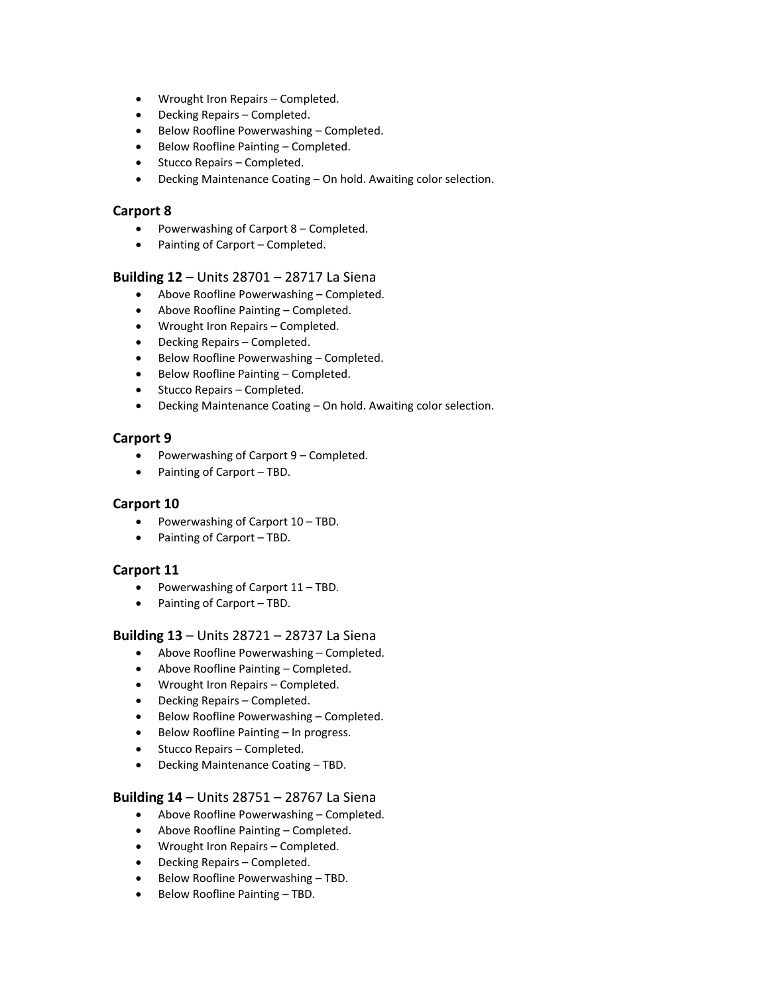- Wrought Iron Repairs Completed.
- Decking Repairs Completed.
- Below Roofline Powerwashing Completed.
- Below Roofline Painting Completed.
- Stucco Repairs Completed.
- Decking Maintenance Coating On hold. Awaiting color selection.

## **Carport 8**

- Powerwashing of Carport 8 Completed.
- Painting of Carport Completed.

## **Building 12** – Units 28701 – 28717 La Siena

- Above Roofline Powerwashing Completed.
- Above Roofline Painting Completed.
- Wrought Iron Repairs Completed.
- Decking Repairs Completed.
- Below Roofline Powerwashing Completed.
- Below Roofline Painting Completed.
- Stucco Repairs Completed.
- Decking Maintenance Coating On hold. Awaiting color selection.

# **Carport 9**

- Powerwashing of Carport 9 Completed.
- Painting of Carport TBD.

# **Carport 10**

- Powerwashing of Carport 10 TBD.
- Painting of Carport TBD.

# **Carport 11**

- Powerwashing of Carport 11 TBD.
- Painting of Carport TBD.

# **Building 13** – Units 28721 – 28737 La Siena

- Above Roofline Powerwashing Completed.
- Above Roofline Painting Completed.
- Wrought Iron Repairs Completed.
- Decking Repairs Completed.
- Below Roofline Powerwashing Completed.
- Below Roofline Painting In progress.
- Stucco Repairs Completed.
- Decking Maintenance Coating TBD.

# **Building 14** – Units 28751 – 28767 La Siena

- Above Roofline Powerwashing Completed.
- Above Roofline Painting Completed.
- Wrought Iron Repairs Completed.
- Decking Repairs Completed.
- Below Roofline Powerwashing TBD.
- Below Roofline Painting TBD.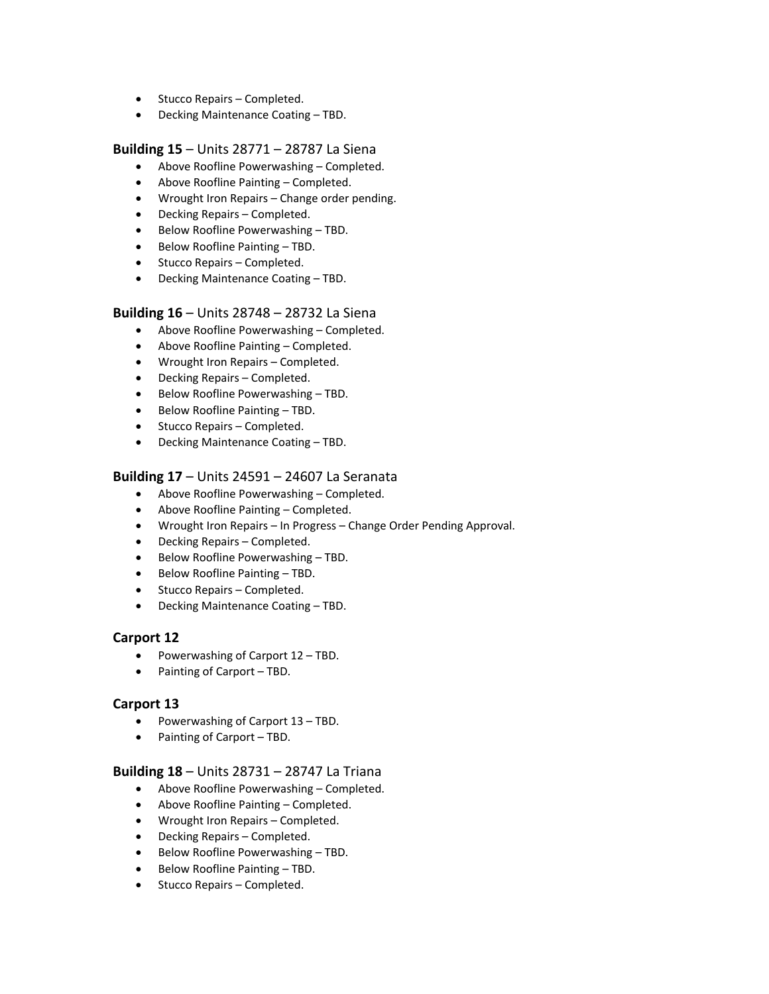- Stucco Repairs Completed.
- Decking Maintenance Coating TBD.

#### **Building 15** – Units 28771 – 28787 La Siena

- Above Roofline Powerwashing Completed.
- Above Roofline Painting Completed.
- Wrought Iron Repairs Change order pending.
- Decking Repairs Completed.
- Below Roofline Powerwashing TBD.
- Below Roofline Painting TBD.
- Stucco Repairs Completed.
- Decking Maintenance Coating TBD.

#### **Building 16** – Units 28748 – 28732 La Siena

- Above Roofline Powerwashing Completed.
- Above Roofline Painting Completed.
- Wrought Iron Repairs Completed.
- Decking Repairs Completed.
- Below Roofline Powerwashing TBD.
- Below Roofline Painting TBD.
- Stucco Repairs Completed.
- Decking Maintenance Coating TBD.

#### **Building 17** – Units 24591 – 24607 La Seranata

- Above Roofline Powerwashing Completed.
- Above Roofline Painting Completed.
- Wrought Iron Repairs In Progress Change Order Pending Approval.
- Decking Repairs Completed.
- Below Roofline Powerwashing TBD.
- Below Roofline Painting TBD.
- Stucco Repairs Completed.
- Decking Maintenance Coating TBD.

#### **Carport 12**

- Powerwashing of Carport 12 TBD.
- Painting of Carport TBD.

#### **Carport 13**

- Powerwashing of Carport 13 TBD.
- Painting of Carport TBD.

#### **Building 18** – Units 28731 – 28747 La Triana

- Above Roofline Powerwashing Completed.
- Above Roofline Painting Completed.
- Wrought Iron Repairs Completed.
- Decking Repairs Completed.
- Below Roofline Powerwashing TBD.
- Below Roofline Painting TBD.
- Stucco Repairs Completed.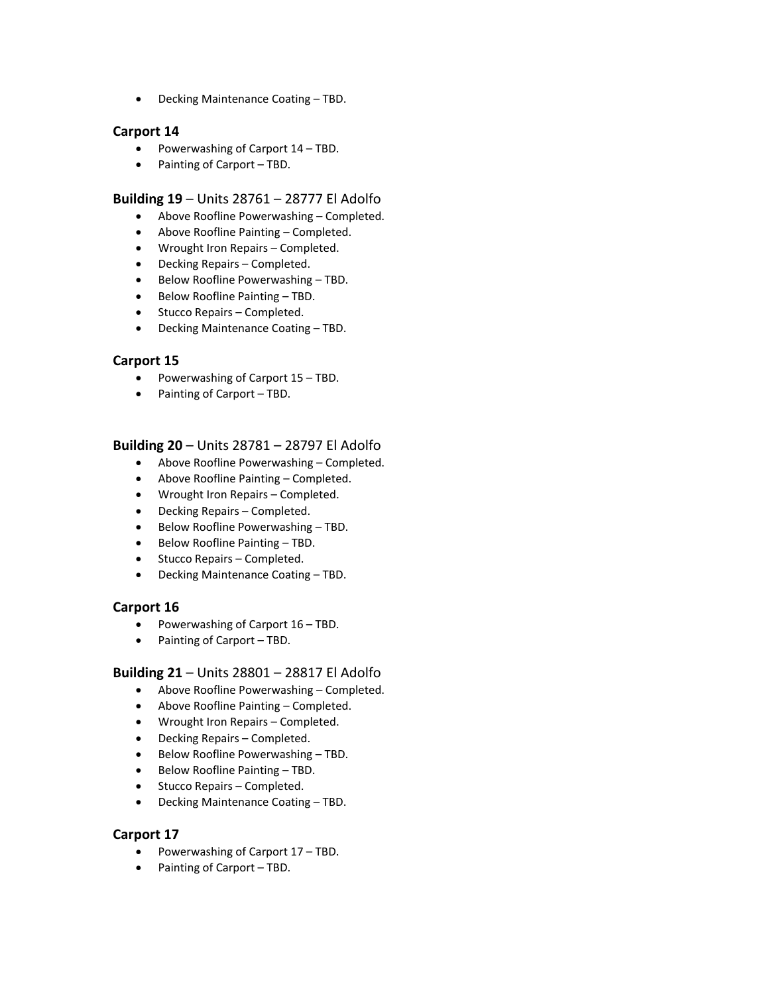Decking Maintenance Coating – TBD.

## **Carport 14**

- Powerwashing of Carport 14 TBD.
- Painting of Carport TBD.

#### **Building 19** – Units 28761 – 28777 El Adolfo

- Above Roofline Powerwashing Completed.
- Above Roofline Painting Completed.
- Wrought Iron Repairs Completed.
- Decking Repairs Completed.
- Below Roofline Powerwashing TBD.
- Below Roofline Painting TBD.
- Stucco Repairs Completed.
- Decking Maintenance Coating TBD.

## **Carport 15**

- Powerwashing of Carport 15 TBD.
- Painting of Carport TBD.

## **Building 20** – Units 28781 – 28797 El Adolfo

- Above Roofline Powerwashing Completed.
- Above Roofline Painting Completed.
- Wrought Iron Repairs Completed.
- Decking Repairs Completed.
- Below Roofline Powerwashing TBD.
- Below Roofline Painting TBD.
- Stucco Repairs Completed.
- Decking Maintenance Coating TBD.

#### **Carport 16**

- Powerwashing of Carport 16 TBD.
- Painting of Carport TBD.

#### **Building 21** – Units 28801 – 28817 El Adolfo

- Above Roofline Powerwashing Completed.
- Above Roofline Painting Completed.
- Wrought Iron Repairs Completed.
- Decking Repairs Completed.
- Below Roofline Powerwashing TBD.
- Below Roofline Painting TBD.
- Stucco Repairs Completed.
- Decking Maintenance Coating TBD.

## **Carport 17**

- Powerwashing of Carport 17 TBD.
- Painting of Carport TBD.